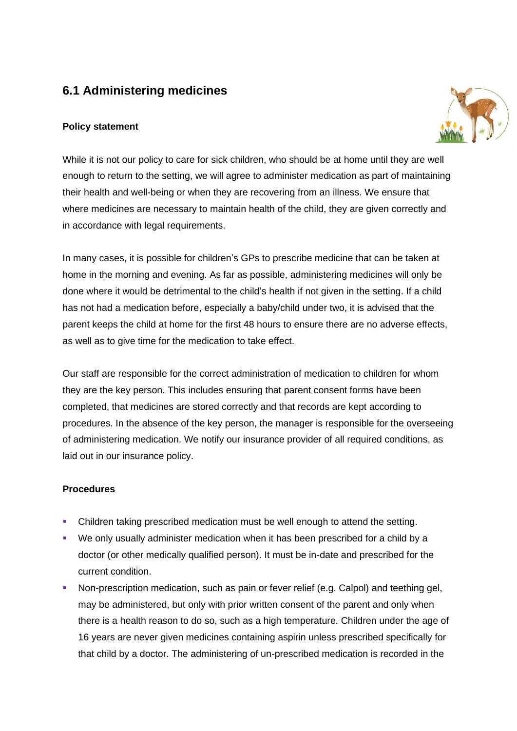# **6.1 Administering medicines**

#### **Policy statement**



While it is not our policy to care for sick children, who should be at home until they are well enough to return to the setting, we will agree to administer medication as part of maintaining their health and well-being or when they are recovering from an illness. We ensure that where medicines are necessary to maintain health of the child, they are given correctly and in accordance with legal requirements.

In many cases, it is possible for children's GPs to prescribe medicine that can be taken at home in the morning and evening. As far as possible, administering medicines will only be done where it would be detrimental to the child's health if not given in the setting. If a child has not had a medication before, especially a baby/child under two, it is advised that the parent keeps the child at home for the first 48 hours to ensure there are no adverse effects, as well as to give time for the medication to take effect.

Our staff are responsible for the correct administration of medication to children for whom they are the key person. This includes ensuring that parent consent forms have been completed, that medicines are stored correctly and that records are kept according to procedures. In the absence of the key person, the manager is responsible for the overseeing of administering medication. We notify our insurance provider of all required conditions, as laid out in our insurance policy.

#### **Procedures**

- Children taking prescribed medication must be well enough to attend the setting.
- We only usually administer medication when it has been prescribed for a child by a doctor (or other medically qualified person). It must be in-date and prescribed for the current condition.
- Non-prescription medication, such as pain or fever relief (e.g. Calpol) and teething gel, may be administered, but only with prior written consent of the parent and only when there is a health reason to do so, such as a high temperature. Children under the age of 16 years are never given medicines containing aspirin unless prescribed specifically for that child by a doctor. The administering of un-prescribed medication is recorded in the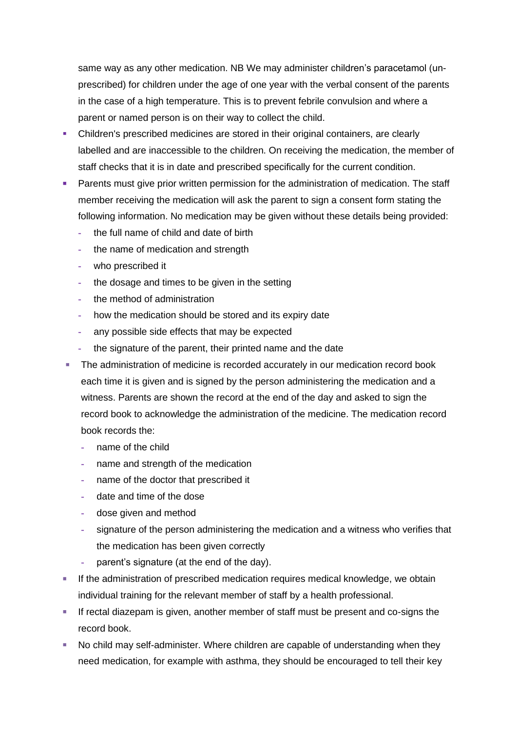same way as any other medication. NB We may administer children's paracetamol (unprescribed) for children under the age of one year with the verbal consent of the parents in the case of a high temperature. This is to prevent febrile convulsion and where a parent or named person is on their way to collect the child.

- Children's prescribed medicines are stored in their original containers, are clearly labelled and are inaccessible to the children. On receiving the medication, the member of staff checks that it is in date and prescribed specifically for the current condition.
- **Parents must give prior written permission for the administration of medication. The staff** member receiving the medication will ask the parent to sign a consent form stating the following information. No medication may be given without these details being provided:
	- **-** the full name of child and date of birth
	- **-** the name of medication and strength
	- **-** who prescribed it
	- **-** the dosage and times to be given in the setting
	- **-** the method of administration
	- **-** how the medication should be stored and its expiry date
	- **-** any possible side effects that may be expected
	- **-** the signature of the parent, their printed name and the date
- **The administration of medicine is recorded accurately in our medication record book** each time it is given and is signed by the person administering the medication and a witness. Parents are shown the record at the end of the day and asked to sign the record book to acknowledge the administration of the medicine. The medication record book records the:
	- **-** name of the child
	- **-** name and strength of the medication
	- **-** name of the doctor that prescribed it
	- **-** date and time of the dose
	- **-** dose given and method
	- **-** signature of the person administering the medication and a witness who verifies that the medication has been given correctly
	- **-** parent's signature (at the end of the day).
- **EXECT** If the administration of prescribed medication requires medical knowledge, we obtain individual training for the relevant member of staff by a health professional.
- **EXT** If rectal diazepam is given, another member of staff must be present and co-signs the record book.
- No child may self-administer. Where children are capable of understanding when they need medication, for example with asthma, they should be encouraged to tell their key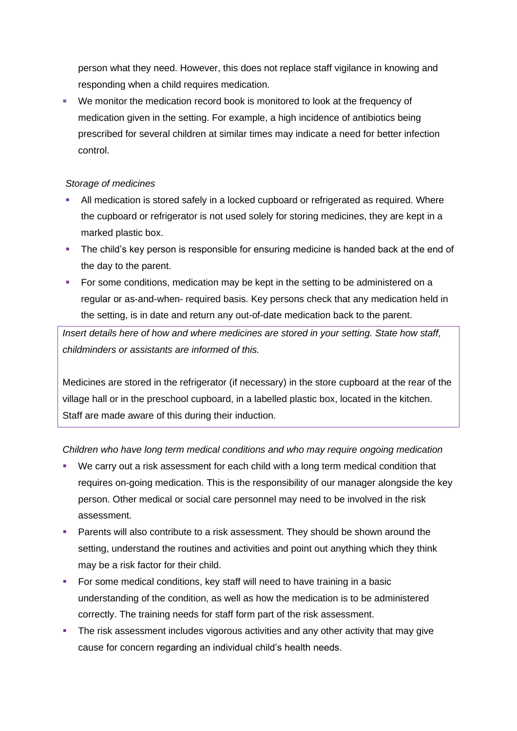person what they need. However, this does not replace staff vigilance in knowing and responding when a child requires medication.

■ We monitor the medication record book is monitored to look at the frequency of medication given in the setting. For example, a high incidence of antibiotics being prescribed for several children at similar times may indicate a need for better infection control.

#### *Storage of medicines*

- All medication is stored safely in a locked cupboard or refrigerated as required. Where the cupboard or refrigerator is not used solely for storing medicines, they are kept in a marked plastic box.
- **•** The child's key person is responsible for ensuring medicine is handed back at the end of the day to the parent.
- For some conditions, medication may be kept in the setting to be administered on a regular or as-and-when- required basis. Key persons check that any medication held in the setting, is in date and return any out-of-date medication back to the parent.

*Insert details here of how and where medicines are stored in your setting. State how staff, childminders or assistants are informed of this.*

Medicines are stored in the refrigerator (if necessary) in the store cupboard at the rear of the village hall or in the preschool cupboard, in a labelled plastic box, located in the kitchen. Staff are made aware of this during their induction.

### *Children who have long term medical conditions and who may require ongoing medication*

- We carry out a risk assessment for each child with a long term medical condition that requires on-going medication. This is the responsibility of our manager alongside the key person. Other medical or social care personnel may need to be involved in the risk assessment.
- **Parents will also contribute to a risk assessment. They should be shown around the** setting, understand the routines and activities and point out anything which they think may be a risk factor for their child.
- For some medical conditions, key staff will need to have training in a basic understanding of the condition, as well as how the medication is to be administered correctly. The training needs for staff form part of the risk assessment.
- **•** The risk assessment includes vigorous activities and any other activity that may give cause for concern regarding an individual child's health needs.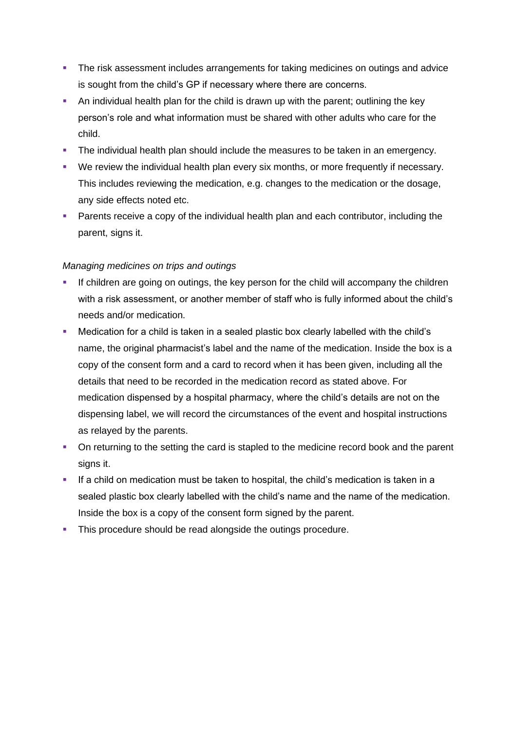- **The risk assessment includes arrangements for taking medicines on outings and advice** is sought from the child's GP if necessary where there are concerns.
- An individual health plan for the child is drawn up with the parent; outlining the key person's role and what information must be shared with other adults who care for the child.
- **The individual health plan should include the measures to be taken in an emergency.**
- We review the individual health plan every six months, or more frequently if necessary. This includes reviewing the medication, e.g. changes to the medication or the dosage, any side effects noted etc.
- **Parents receive a copy of the individual health plan and each contributor, including the** parent, signs it.

#### *Managing medicines on trips and outings*

- If children are going on outings, the key person for the child will accompany the children with a risk assessment, or another member of staff who is fully informed about the child's needs and/or medication.
- Medication for a child is taken in a sealed plastic box clearly labelled with the child's name, the original pharmacist's label and the name of the medication. Inside the box is a copy of the consent form and a card to record when it has been given, including all the details that need to be recorded in the medication record as stated above. For medication dispensed by a hospital pharmacy, where the child's details are not on the dispensing label, we will record the circumstances of the event and hospital instructions as relayed by the parents.
- On returning to the setting the card is stapled to the medicine record book and the parent signs it.
- **.** If a child on medication must be taken to hospital, the child's medication is taken in a sealed plastic box clearly labelled with the child's name and the name of the medication. Inside the box is a copy of the consent form signed by the parent.
- **This procedure should be read alongside the outings procedure.**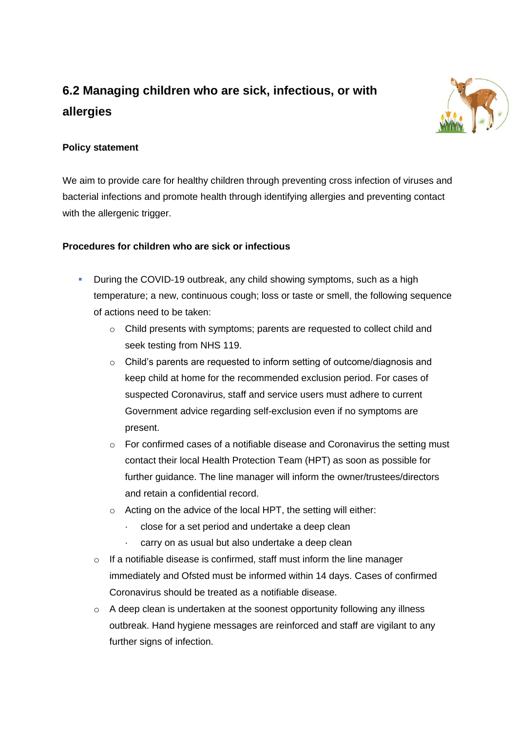# **6.2 Managing children who are sick, infectious, or with allergies**



# **Policy statement**

We aim to provide care for healthy children through preventing cross infection of viruses and bacterial infections and promote health through identifying allergies and preventing contact with the allergenic trigger.

# **Procedures for children who are sick or infectious**

- **•** During the COVID-19 outbreak, any child showing symptoms, such as a high temperature; a new, continuous cough; loss or taste or smell, the following sequence of actions need to be taken:
	- o Child presents with symptoms; parents are requested to collect child and seek testing from NHS 119.
	- o Child's parents are requested to inform setting of outcome/diagnosis and keep child at home for the recommended exclusion period. For cases of suspected Coronavirus, staff and service users must adhere to current Government advice regarding self-exclusion even if no symptoms are present.
	- $\circ$  For confirmed cases of a notifiable disease and Coronavirus the setting must contact their local Health Protection Team (HPT) as soon as possible for further guidance. The line manager will inform the owner/trustees/directors and retain a confidential record.
	- $\circ$  Acting on the advice of the local HPT, the setting will either:
		- · close for a set period and undertake a deep clean
		- · carry on as usual but also undertake a deep clean
	- o If a notifiable disease is confirmed, staff must inform the line manager immediately and Ofsted must be informed within 14 days. Cases of confirmed Coronavirus should be treated as a notifiable disease.
	- $\circ$  A deep clean is undertaken at the soonest opportunity following any illness outbreak. Hand hygiene messages are reinforced and staff are vigilant to any further signs of infection.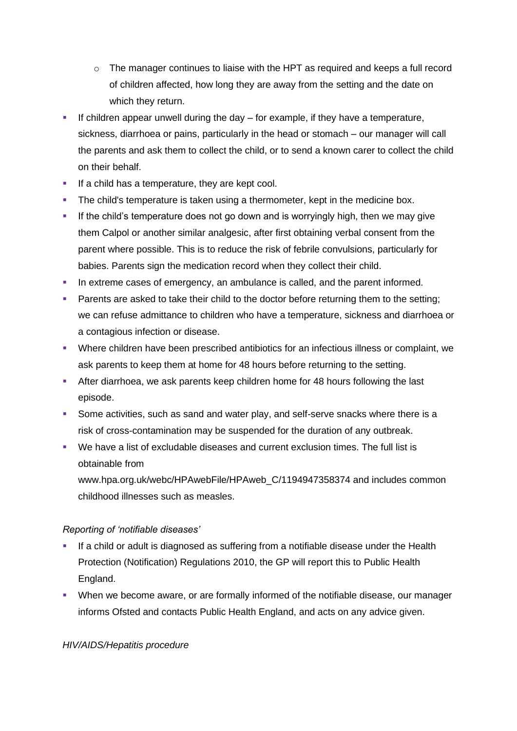- $\circ$  The manager continues to liaise with the HPT as required and keeps a full record of children affected, how long they are away from the setting and the date on which they return.
- **EXT** If children appear unwell during the day for example, if they have a temperature, sickness, diarrhoea or pains, particularly in the head or stomach – our manager will call the parents and ask them to collect the child, or to send a known carer to collect the child on their behalf.
- **.** If a child has a temperature, they are kept cool.
- **•** The child's temperature is taken using a thermometer, kept in the medicine box.
- **.** If the child's temperature does not go down and is worryingly high, then we may give them Calpol or another similar analgesic, after first obtaining verbal consent from the parent where possible. This is to reduce the risk of febrile convulsions, particularly for babies. Parents sign the medication record when they collect their child.
- **•** In extreme cases of emergency, an ambulance is called, and the parent informed.
- **•** Parents are asked to take their child to the doctor before returning them to the setting; we can refuse admittance to children who have a temperature, sickness and diarrhoea or a contagious infection or disease.
- Where children have been prescribed antibiotics for an infectious illness or complaint, we ask parents to keep them at home for 48 hours before returning to the setting.
- **EXTER After diarrhoea, we ask parents keep children home for 48 hours following the last** episode.
- Some activities, such as sand and water play, and self-serve snacks where there is a risk of cross-contamination may be suspended for the duration of any outbreak.
- We have a list of excludable diseases and current exclusion times. The full list is obtainable from
	- www.hpa.org.uk/webc/HPAwebFile/HPAweb C/1194947358374 and includes common childhood illnesses such as measles.

### *Reporting of 'notifiable diseases'*

- **•** If a child or adult is diagnosed as suffering from a notifiable disease under the Health Protection (Notification) Regulations 2010, the GP will report this to Public Health England.
- **When we become aware, or are formally informed of the notifiable disease, our manager** informs Ofsted and contacts Public Health England, and acts on any advice given.

#### *HIV/AIDS/Hepatitis procedure*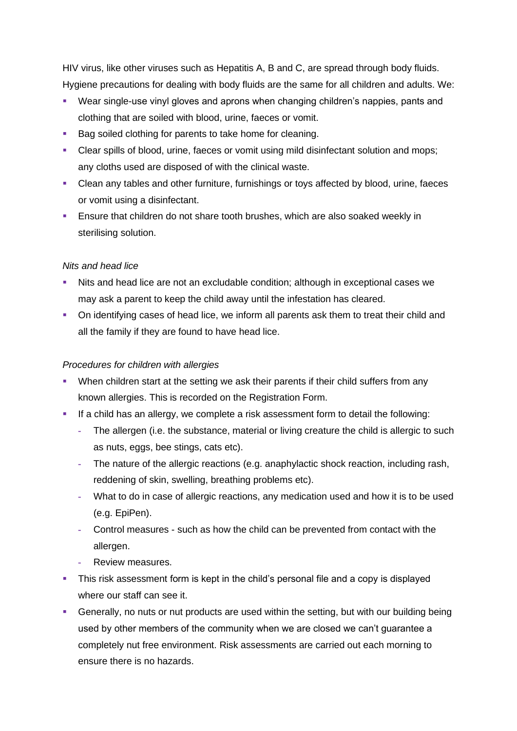HIV virus, like other viruses such as Hepatitis A, B and C, are spread through body fluids. Hygiene precautions for dealing with body fluids are the same for all children and adults. We:

- Wear single-use vinyl gloves and aprons when changing children's nappies, pants and clothing that are soiled with blood, urine, faeces or vomit.
- Bag soiled clothing for parents to take home for cleaning.
- Clear spills of blood, urine, faeces or vomit using mild disinfectant solution and mops; any cloths used are disposed of with the clinical waste.
- Clean any tables and other furniture, furnishings or toys affected by blood, urine, faeces or vomit using a disinfectant.
- **Ensure that children do not share tooth brushes, which are also soaked weekly in** sterilising solution.

#### *Nits and head lice*

- Nits and head lice are not an excludable condition; although in exceptional cases we may ask a parent to keep the child away until the infestation has cleared.
- On identifying cases of head lice, we inform all parents ask them to treat their child and all the family if they are found to have head lice.

#### *Procedures for children with allergies*

- **•** When children start at the setting we ask their parents if their child suffers from any known allergies. This is recorded on the Registration Form.
- If a child has an allergy, we complete a risk assessment form to detail the following:
	- **-** The allergen (i.e. the substance, material or living creature the child is allergic to such as nuts, eggs, bee stings, cats etc).
	- **-** The nature of the allergic reactions (e.g. anaphylactic shock reaction, including rash, reddening of skin, swelling, breathing problems etc).
	- **-** What to do in case of allergic reactions, any medication used and how it is to be used (e.g. EpiPen).
	- **-** Control measures such as how the child can be prevented from contact with the allergen.
	- **-** Review measures.
- **•** This risk assessment form is kept in the child's personal file and a copy is displayed where our staff can see it.
- **Generally, no nuts or nut products are used within the setting, but with our building being** used by other members of the community when we are closed we can't guarantee a completely nut free environment. Risk assessments are carried out each morning to ensure there is no hazards.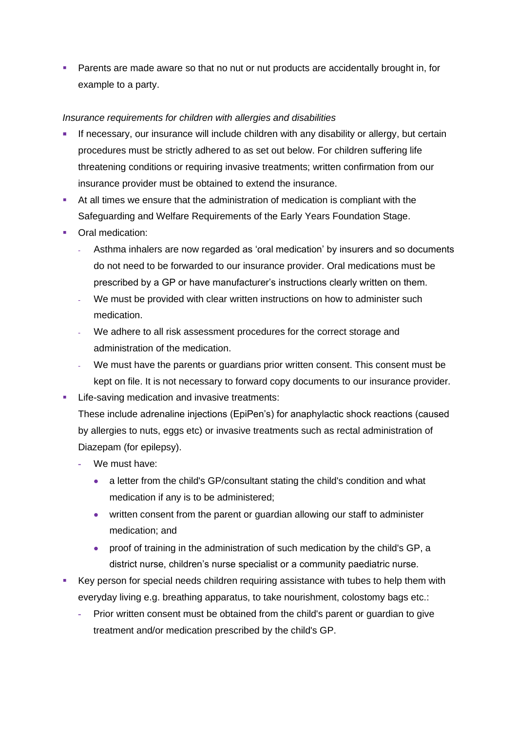**EXECT** Parents are made aware so that no nut or nut products are accidentally brought in, for example to a party.

#### *Insurance requirements for children with allergies and disabilities*

- If necessary, our insurance will include children with any disability or allergy, but certain procedures must be strictly adhered to as set out below. For children suffering life threatening conditions or requiring invasive treatments; written confirmation from our insurance provider must be obtained to extend the insurance.
- At all times we ensure that the administration of medication is compliant with the Safeguarding and Welfare Requirements of the Early Years Foundation Stage.
- Oral medication:
	- **-** Asthma inhalers are now regarded as 'oral medication' by insurers and so documents do not need to be forwarded to our insurance provider. Oral medications must be prescribed by a GP or have manufacturer's instructions clearly written on them.
	- **-** We must be provided with clear written instructions on how to administer such medication.
	- **-** We adhere to all risk assessment procedures for the correct storage and administration of the medication.
	- **-** We must have the parents or guardians prior written consent. This consent must be kept on file. It is not necessary to forward copy documents to our insurance provider.
- Life-saving medication and invasive treatments: These include adrenaline injections (EpiPen's) for anaphylactic shock reactions (caused by allergies to nuts, eggs etc) or invasive treatments such as rectal administration of Diazepam (for epilepsy).
	- **-** We must have:
		- a letter from the child's GP/consultant stating the child's condition and what medication if any is to be administered;
		- written consent from the parent or guardian allowing our staff to administer medication; and
		- proof of training in the administration of such medication by the child's GP, a district nurse, children's nurse specialist or a community paediatric nurse.
- Key person for special needs children requiring assistance with tubes to help them with everyday living e.g. breathing apparatus, to take nourishment, colostomy bags etc.:
	- **-** Prior written consent must be obtained from the child's parent or guardian to give treatment and/or medication prescribed by the child's GP.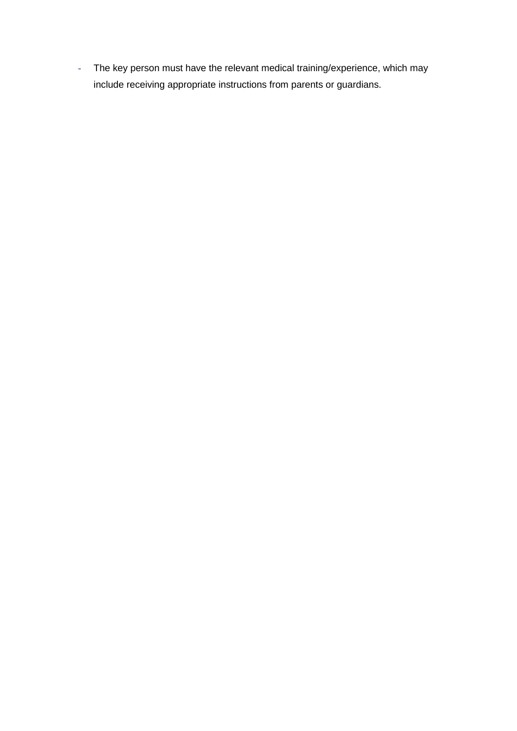**-** The key person must have the relevant medical training/experience, which may include receiving appropriate instructions from parents or guardians.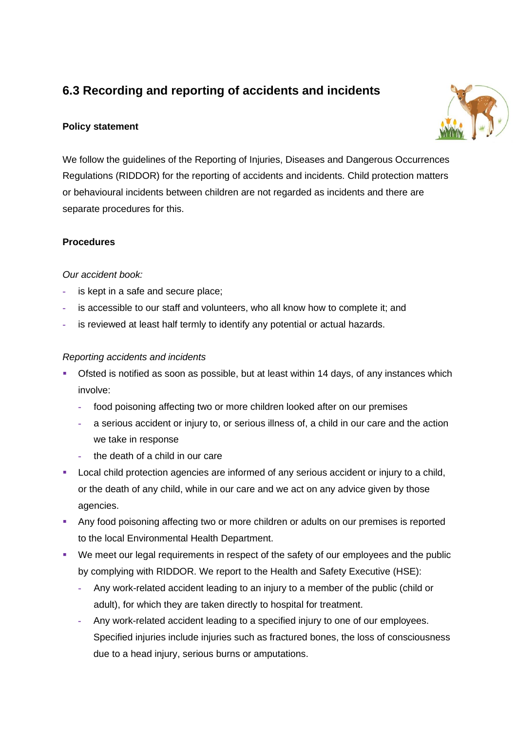# **6.3 Recording and reporting of accidents and incidents**

# **Policy statement**



We follow the guidelines of the Reporting of Injuries, Diseases and Dangerous Occurrences Regulations (RIDDOR) for the reporting of accidents and incidents. Child protection matters or behavioural incidents between children are not regarded as incidents and there are separate procedures for this.

### **Procedures**

### *Our accident book:*

- **-** is kept in a safe and secure place;
- **-** is accessible to our staff and volunteers, who all know how to complete it; and
- **-** is reviewed at least half termly to identify any potential or actual hazards.

### *Reporting accidents and incidents*

- **•** Ofsted is notified as soon as possible, but at least within 14 days, of any instances which involve:
	- **-** food poisoning affecting two or more children looked after on our premises
	- **-** a serious accident or injury to, or serious illness of, a child in our care and the action we take in response
	- **-** the death of a child in our care
- **EXECT** Local child protection agencies are informed of any serious accident or injury to a child, or the death of any child, while in our care and we act on any advice given by those agencies.
- **Any food poisoning affecting two or more children or adults on our premises is reported** to the local Environmental Health Department.
- We meet our legal requirements in respect of the safety of our employees and the public by complying with RIDDOR. We report to the Health and Safety Executive (HSE):
	- **-** Any work-related accident leading to an injury to a member of the public (child or adult), for which they are taken directly to hospital for treatment.
	- **-** Any work-related accident leading to a specified injury to one of our employees. Specified injuries include injuries such as fractured bones, the loss of consciousness due to a head injury, serious burns or amputations.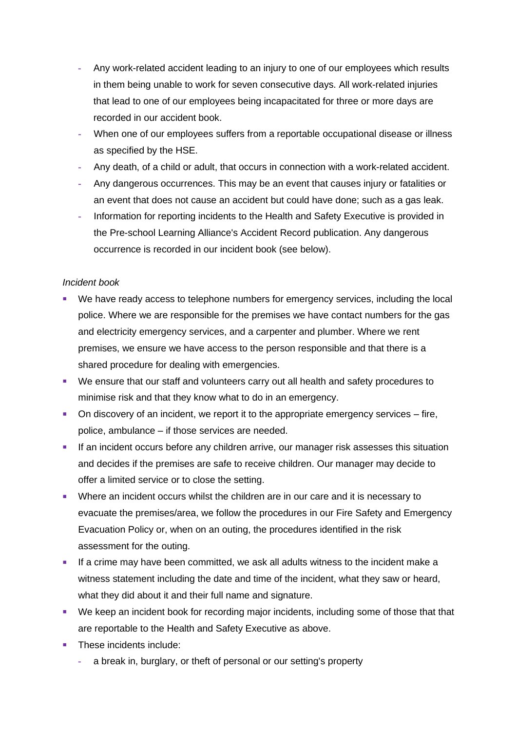- **-** Any work-related accident leading to an injury to one of our employees which results in them being unable to work for seven consecutive days. All work-related injuries that lead to one of our employees being incapacitated for three or more days are recorded in our accident book.
- **-** When one of our employees suffers from a reportable occupational disease or illness as specified by the HSE.
- **-** Any death, of a child or adult, that occurs in connection with a work-related accident.
- **-** Any dangerous occurrences. This may be an event that causes injury or fatalities or an event that does not cause an accident but could have done; such as a gas leak.
- **-** Information for reporting incidents to the Health and Safety Executive is provided in the Pre-school Learning Alliance's Accident Record publication. Any dangerous occurrence is recorded in our incident book (see below).

#### *Incident book*

- We have ready access to telephone numbers for emergency services, including the local police. Where we are responsible for the premises we have contact numbers for the gas and electricity emergency services, and a carpenter and plumber. Where we rent premises, we ensure we have access to the person responsible and that there is a shared procedure for dealing with emergencies.
- We ensure that our staff and volunteers carry out all health and safety procedures to minimise risk and that they know what to do in an emergency.
- On discovery of an incident, we report it to the appropriate emergency services fire, police, ambulance – if those services are needed.
- **EXECUTE:** If an incident occurs before any children arrive, our manager risk assesses this situation and decides if the premises are safe to receive children. Our manager may decide to offer a limited service or to close the setting.
- **•** Where an incident occurs whilst the children are in our care and it is necessary to evacuate the premises/area, we follow the procedures in our Fire Safety and Emergency Evacuation Policy or, when on an outing, the procedures identified in the risk assessment for the outing.
- **■** If a crime may have been committed, we ask all adults witness to the incident make a witness statement including the date and time of the incident, what they saw or heard, what they did about it and their full name and signature.
- We keep an incident book for recording major incidents, including some of those that that are reportable to the Health and Safety Executive as above.
- These incidents include:
	- **-** a break in, burglary, or theft of personal or our setting's property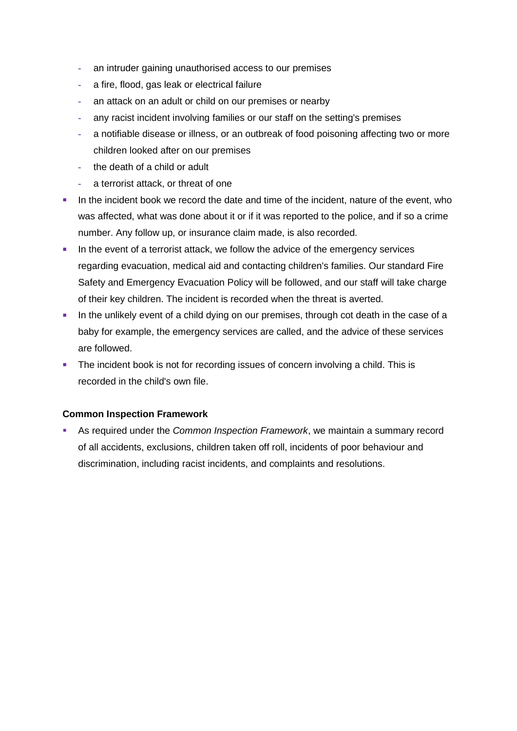- **-** an intruder gaining unauthorised access to our premises
- **-** a fire, flood, gas leak or electrical failure
- **-** an attack on an adult or child on our premises or nearby
- **-** any racist incident involving families or our staff on the setting's premises
- **-** a notifiable disease or illness, or an outbreak of food poisoning affecting two or more children looked after on our premises
- **-** the death of a child or adult
- **-** a terrorist attack, or threat of one
- **.** In the incident book we record the date and time of the incident, nature of the event, who was affected, what was done about it or if it was reported to the police, and if so a crime number. Any follow up, or insurance claim made, is also recorded.
- **·** In the event of a terrorist attack, we follow the advice of the emergency services regarding evacuation, medical aid and contacting children's families. Our standard Fire Safety and Emergency Evacuation Policy will be followed, and our staff will take charge of their key children. The incident is recorded when the threat is averted.
- **.** In the unlikely event of a child dying on our premises, through cot death in the case of a baby for example, the emergency services are called, and the advice of these services are followed.
- The incident book is not for recording issues of concern involving a child. This is recorded in the child's own file.

#### **Common Inspection Framework**

**EXED As required under the** *Common Inspection Framework*, we maintain a summary record of all accidents, exclusions, children taken off roll, incidents of poor behaviour and discrimination, including racist incidents, and complaints and resolutions.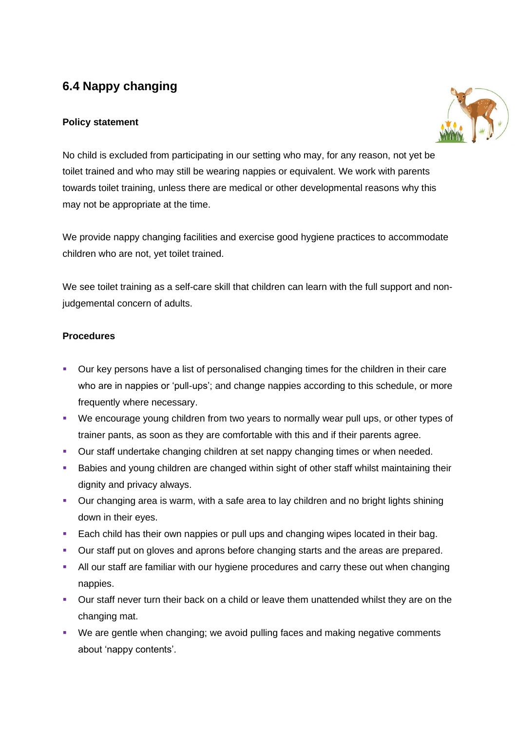# **6.4 Nappy changing**

# **Policy statement**



No child is excluded from participating in our setting who may, for any reason, not yet be toilet trained and who may still be wearing nappies or equivalent. We work with parents towards toilet training, unless there are medical or other developmental reasons why this may not be appropriate at the time.

We provide nappy changing facilities and exercise good hygiene practices to accommodate children who are not, yet toilet trained.

We see toilet training as a self-care skill that children can learn with the full support and nonjudgemental concern of adults.

# **Procedures**

- Our key persons have a list of personalised changing times for the children in their care who are in nappies or 'pull-ups'; and change nappies according to this schedule, or more frequently where necessary.
- We encourage young children from two years to normally wear pull ups, or other types of trainer pants, as soon as they are comfortable with this and if their parents agree.
- Our staff undertake changing children at set nappy changing times or when needed.
- Babies and young children are changed within sight of other staff whilst maintaining their dignity and privacy always.
- Our changing area is warm, with a safe area to lay children and no bright lights shining down in their eyes.
- **Each child has their own nappies or pull ups and changing wipes located in their bag.**
- Our staff put on gloves and aprons before changing starts and the areas are prepared.
- **E** All our staff are familiar with our hygiene procedures and carry these out when changing nappies.
- **•** Our staff never turn their back on a child or leave them unattended whilst they are on the changing mat.
- We are gentle when changing; we avoid pulling faces and making negative comments about 'nappy contents'.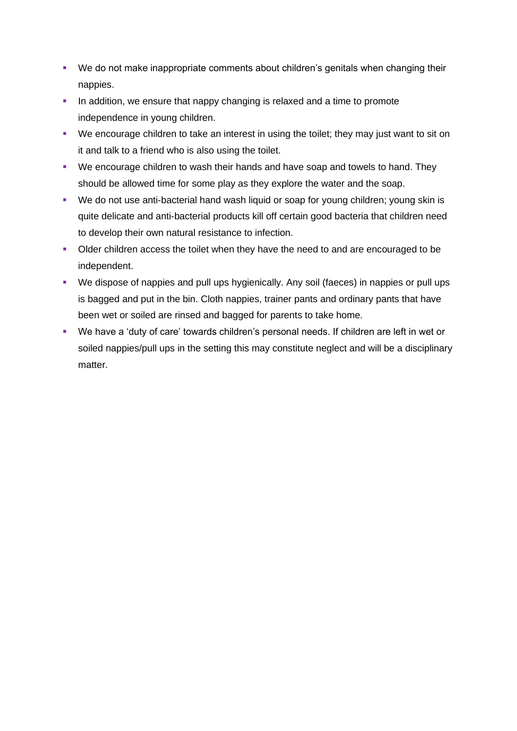- We do not make inappropriate comments about children's genitals when changing their nappies.
- **•** In addition, we ensure that nappy changing is relaxed and a time to promote independence in young children.
- We encourage children to take an interest in using the toilet; they may just want to sit on it and talk to a friend who is also using the toilet.
- We encourage children to wash their hands and have soap and towels to hand. They should be allowed time for some play as they explore the water and the soap.
- We do not use anti-bacterial hand wash liquid or soap for young children; young skin is quite delicate and anti-bacterial products kill off certain good bacteria that children need to develop their own natural resistance to infection.
- Older children access the toilet when they have the need to and are encouraged to be independent.
- We dispose of nappies and pull ups hygienically. Any soil (faeces) in nappies or pull ups is bagged and put in the bin. Cloth nappies, trainer pants and ordinary pants that have been wet or soiled are rinsed and bagged for parents to take home.
- We have a 'duty of care' towards children's personal needs. If children are left in wet or soiled nappies/pull ups in the setting this may constitute neglect and will be a disciplinary matter.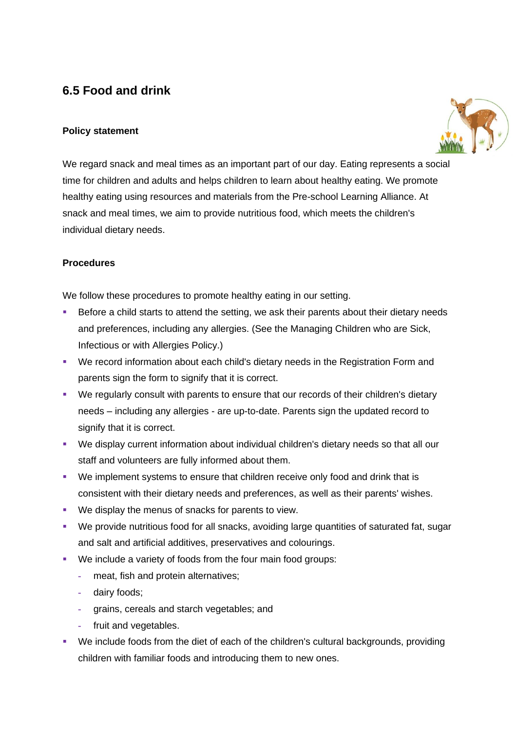# **6.5 Food and drink**

### **Policy statement**



We regard snack and meal times as an important part of our day. Eating represents a social time for children and adults and helps children to learn about healthy eating. We promote healthy eating using resources and materials from the Pre-school Learning Alliance. At snack and meal times, we aim to provide nutritious food, which meets the children's individual dietary needs.

### **Procedures**

We follow these procedures to promote healthy eating in our setting.

- Before a child starts to attend the setting, we ask their parents about their dietary needs and preferences, including any allergies. (See the Managing Children who are Sick, Infectious or with Allergies Policy.)
- We record information about each child's dietary needs in the Registration Form and parents sign the form to signify that it is correct.
- We regularly consult with parents to ensure that our records of their children's dietary needs – including any allergies - are up-to-date. Parents sign the updated record to signify that it is correct.
- We display current information about individual children's dietary needs so that all our staff and volunteers are fully informed about them.
- We implement systems to ensure that children receive only food and drink that is consistent with their dietary needs and preferences, as well as their parents' wishes.
- We display the menus of snacks for parents to view.
- We provide nutritious food for all snacks, avoiding large quantities of saturated fat, sugar and salt and artificial additives, preservatives and colourings.
- We include a variety of foods from the four main food groups:
	- **-** meat, fish and protein alternatives;
	- **-** dairy foods;
	- **-** grains, cereals and starch vegetables; and
	- **-** fruit and vegetables.
- We include foods from the diet of each of the children's cultural backgrounds, providing children with familiar foods and introducing them to new ones.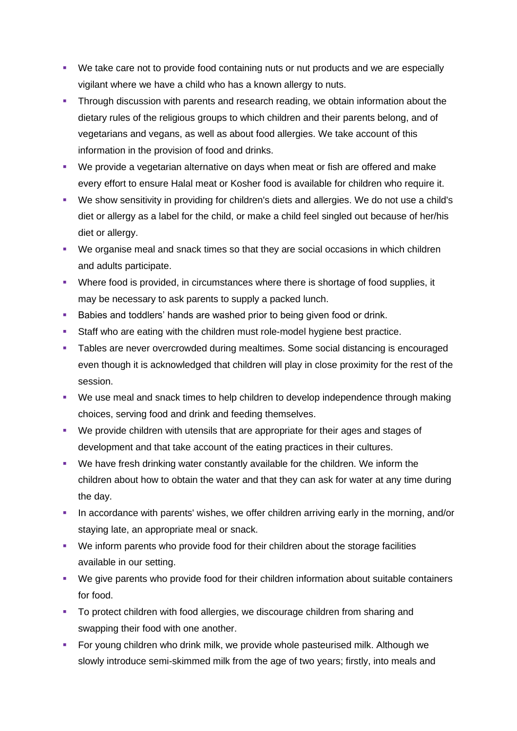- We take care not to provide food containing nuts or nut products and we are especially vigilant where we have a child who has a known allergy to nuts.
- **Through discussion with parents and research reading, we obtain information about the** dietary rules of the religious groups to which children and their parents belong, and of vegetarians and vegans, as well as about food allergies. We take account of this information in the provision of food and drinks.
- We provide a vegetarian alternative on days when meat or fish are offered and make every effort to ensure Halal meat or Kosher food is available for children who require it.
- We show sensitivity in providing for children's diets and allergies. We do not use a child's diet or allergy as a label for the child, or make a child feel singled out because of her/his diet or allergy.
- We organise meal and snack times so that they are social occasions in which children and adults participate.
- Where food is provided, in circumstances where there is shortage of food supplies, it may be necessary to ask parents to supply a packed lunch.
- Babies and toddlers' hands are washed prior to being given food or drink.
- Staff who are eating with the children must role-model hygiene best practice.
- Tables are never overcrowded during mealtimes. Some social distancing is encouraged even though it is acknowledged that children will play in close proximity for the rest of the session.
- We use meal and snack times to help children to develop independence through making choices, serving food and drink and feeding themselves.
- We provide children with utensils that are appropriate for their ages and stages of development and that take account of the eating practices in their cultures.
- We have fresh drinking water constantly available for the children. We inform the children about how to obtain the water and that they can ask for water at any time during the day.
- **•** In accordance with parents' wishes, we offer children arriving early in the morning, and/or staying late, an appropriate meal or snack.
- We inform parents who provide food for their children about the storage facilities available in our setting.
- We give parents who provide food for their children information about suitable containers for food.
- **•** To protect children with food allergies, we discourage children from sharing and swapping their food with one another.
- **•** For young children who drink milk, we provide whole pasteurised milk. Although we slowly introduce semi-skimmed milk from the age of two years; firstly, into meals and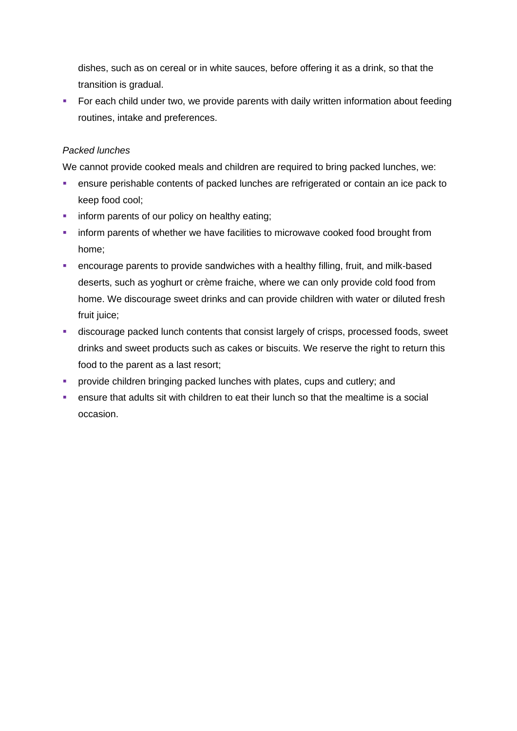dishes, such as on cereal or in white sauces, before offering it as a drink, so that the transition is gradual.

■ For each child under two, we provide parents with daily written information about feeding routines, intake and preferences.

#### *Packed lunches*

We cannot provide cooked meals and children are required to bring packed lunches, we:

- **EXECT** ensure perishable contents of packed lunches are refrigerated or contain an ice pack to keep food cool;
- **•** inform parents of our policy on healthy eating;
- **•** inform parents of whether we have facilities to microwave cooked food brought from home;
- encourage parents to provide sandwiches with a healthy filling, fruit, and milk-based deserts, such as yoghurt or crème fraiche, where we can only provide cold food from home. We discourage sweet drinks and can provide children with water or diluted fresh fruit juice;
- **■** discourage packed lunch contents that consist largely of crisps, processed foods, sweet drinks and sweet products such as cakes or biscuits. We reserve the right to return this food to the parent as a last resort;
- **•** provide children bringing packed lunches with plates, cups and cutlery; and
- ensure that adults sit with children to eat their lunch so that the mealtime is a social occasion.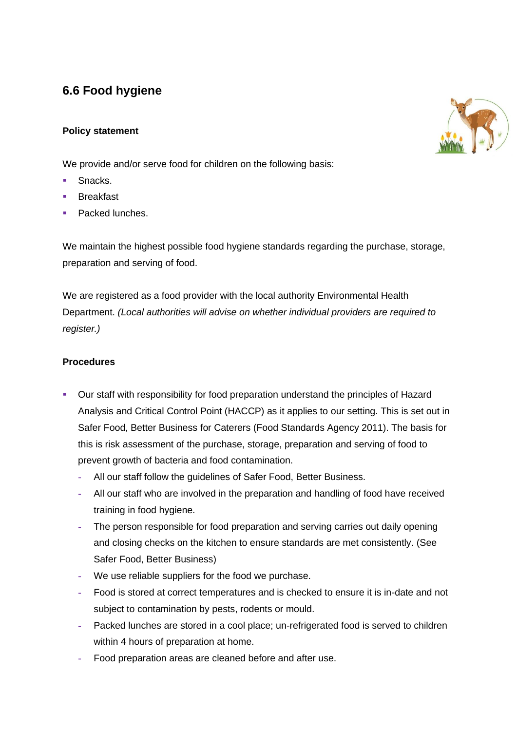# **6.6 Food hygiene**

# **Policy statement**

We provide and/or serve food for children on the following basis:

- Snacks.
- Breakfast
- Packed lunches.

We maintain the highest possible food hygiene standards regarding the purchase, storage, preparation and serving of food.

We are registered as a food provider with the local authority Environmental Health Department. *(Local authorities will advise on whether individual providers are required to register.)*

# **Procedures**

- Our staff with responsibility for food preparation understand the principles of Hazard Analysis and Critical Control Point (HACCP) as it applies to our setting. This is set out in Safer Food, Better Business for Caterers (Food Standards Agency 2011). The basis for this is risk assessment of the purchase, storage, preparation and serving of food to prevent growth of bacteria and food contamination.
	- **-** All our staff follow the guidelines of Safer Food, Better Business.
	- **-** All our staff who are involved in the preparation and handling of food have received training in food hygiene.
	- **-** The person responsible for food preparation and serving carries out daily opening and closing checks on the kitchen to ensure standards are met consistently. (See Safer Food, Better Business)
	- **-** We use reliable suppliers for the food we purchase.
	- **-** Food is stored at correct temperatures and is checked to ensure it is in-date and not subject to contamination by pests, rodents or mould.
	- **-** Packed lunches are stored in a cool place; un-refrigerated food is served to children within 4 hours of preparation at home.
	- **-** Food preparation areas are cleaned before and after use.